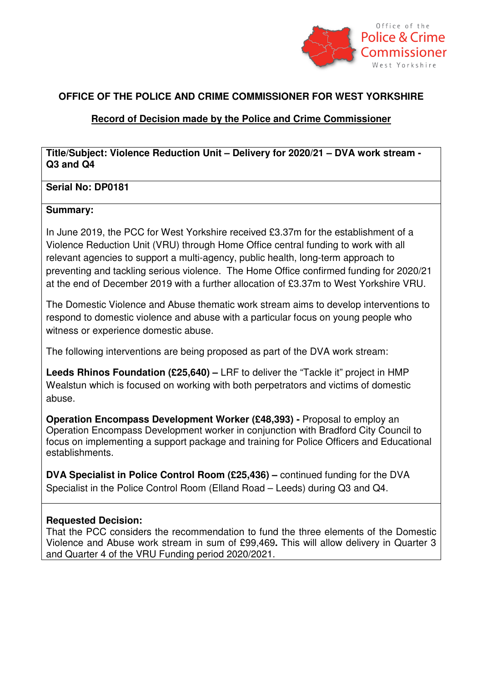

# **OFFICE OF THE POLICE AND CRIME COMMISSIONER FOR WEST YORKSHIRE**

## **Record of Decision made by the Police and Crime Commissioner**

**Title/Subject: Violence Reduction Unit – Delivery for 2020/21 – DVA work stream - Q3 and Q4** 

### **Serial No: DP0181**

#### **Summary:**

In June 2019, the PCC for West Yorkshire received £3.37m for the establishment of a Violence Reduction Unit (VRU) through Home Office central funding to work with all relevant agencies to support a multi-agency, public health, long-term approach to preventing and tackling serious violence. The Home Office confirmed funding for 2020/21 at the end of December 2019 with a further allocation of £3.37m to West Yorkshire VRU.

The Domestic Violence and Abuse thematic work stream aims to develop interventions to respond to domestic violence and abuse with a particular focus on young people who witness or experience domestic abuse.

The following interventions are being proposed as part of the DVA work stream:

**Leeds Rhinos Foundation (£25,640) –** LRF to deliver the "Tackle it" project in HMP Wealstun which is focused on working with both perpetrators and victims of domestic abuse.

**Operation Encompass Development Worker (£48,393) -** Proposal to employ an Operation Encompass Development worker in conjunction with Bradford City Council to focus on implementing a support package and training for Police Officers and Educational establishments.

**DVA Specialist in Police Control Room (£25,436) –** continued funding for the DVA Specialist in the Police Control Room (Elland Road – Leeds) during Q3 and Q4.

### **Requested Decision:**

That the PCC considers the recommendation to fund the three elements of the Domestic Violence and Abuse work stream in sum of £99,469**.** This will allow delivery in Quarter 3 and Quarter 4 of the VRU Funding period 2020/2021.